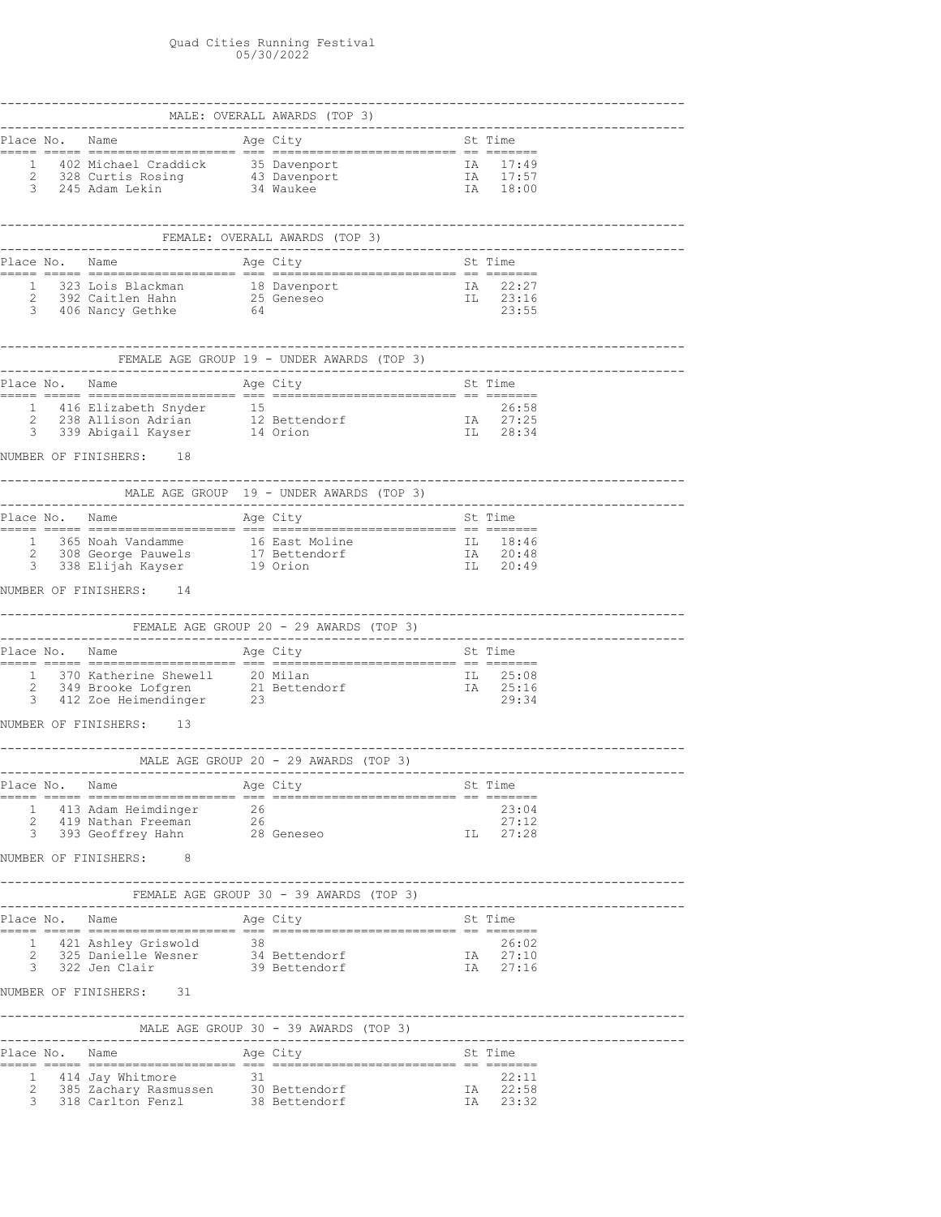## Quad Cities Running Festival 05/30/2022

|                |                                                                                                  | 1 402 Michael Craddick 35 Davenport 14 17:49<br>2 328 Curtis Rosing 43 Davenport 1A 17:57<br>3 245 Adam Lekin 34 Waukee 1A 18:00                                                                                |     |                               |
|----------------|--------------------------------------------------------------------------------------------------|-----------------------------------------------------------------------------------------------------------------------------------------------------------------------------------------------------------------|-----|-------------------------------|
|                |                                                                                                  | _____________________________<br>FEMALE: OVERALL AWARDS (TOP 3)                                                                                                                                                 |     |                               |
|                |                                                                                                  |                                                                                                                                                                                                                 |     |                               |
|                |                                                                                                  | 1 323 Lois Blackman 18 Davenport 18 22:27<br>2 392 Caitlen Hahn 25 Geneseo 11 23:16<br>3 406 Nancy Gethke 64 23:55                                                                                              |     |                               |
|                |                                                                                                  |                                                                                                                                                                                                                 |     |                               |
|                |                                                                                                  |                                                                                                                                                                                                                 |     |                               |
|                |                                                                                                  | 1 416 Elizabeth Snyder 15 15<br>2 238 Allison Adrian 12 Bettendorf 1A 27:25<br>3 339 Abigail Kayser 14 Orion 11 28:34                                                                                           |     |                               |
|                | NUMBER OF FINISHERS: 18                                                                          |                                                                                                                                                                                                                 |     |                               |
|                | ----------------------------------                                                               | ---------------------                                                                                                                                                                                           |     |                               |
|                |                                                                                                  |                                                                                                                                                                                                                 |     |                               |
|                |                                                                                                  |                                                                                                                                                                                                                 |     |                               |
|                |                                                                                                  |                                                                                                                                                                                                                 |     |                               |
|                |                                                                                                  |                                                                                                                                                                                                                 |     |                               |
|                |                                                                                                  | $\begin{tabular}{llllll} 1 & 370 Katherine Shewell & 20 Milan & \textbf{II} & 25:08 \\ 2 & 349 Brooke Loffgren & 21 Bettendorf & \textbf{IA} & 25:16 \\ 3 & 412 Zoe Heimendinger & 23 & 29:34 \\ \end{tabular}$ |     |                               |
|                | NUMBER OF FINISHERS: 13                                                                          |                                                                                                                                                                                                                 |     |                               |
|                |                                                                                                  | MALE AGE GROUP 20 - 29 AWARDS (TOP 3)                                                                                                                                                                           |     |                               |
| Place No. Name |                                                                                                  | Age City                                                                                                                                                                                                        |     | St Time                       |
|                | 1 413 Adam Heimdinger 26<br>2 419 Nathan Freeman 26<br>3 393 Geoffrey Hahn 28 Geneseo            |                                                                                                                                                                                                                 | IL. | 23:04<br>27:12<br>27:28       |
|                | NUMBER OF FINISHERS: 8                                                                           |                                                                                                                                                                                                                 |     |                               |
|                |                                                                                                  |                                                                                                                                                                                                                 |     |                               |
|                |                                                                                                  |                                                                                                                                                                                                                 |     |                               |
|                | 1 421 Ashley Griswold 38<br>2 325 Danielle Wesner 34 Bettendorf<br>3 322 Jen Clair 39 Bettendorf |                                                                                                                                                                                                                 |     | 26:02<br>IA 27:10<br>IA 27:16 |
|                | NUMBER OF FINISHERS: 31                                                                          |                                                                                                                                                                                                                 |     |                               |
|                |                                                                                                  |                                                                                                                                                                                                                 |     |                               |
|                |                                                                                                  |                                                                                                                                                                                                                 |     |                               |
|                | Place No. Name                                                                                   | Age City                                                                                                                                                                                                        |     | St Time                       |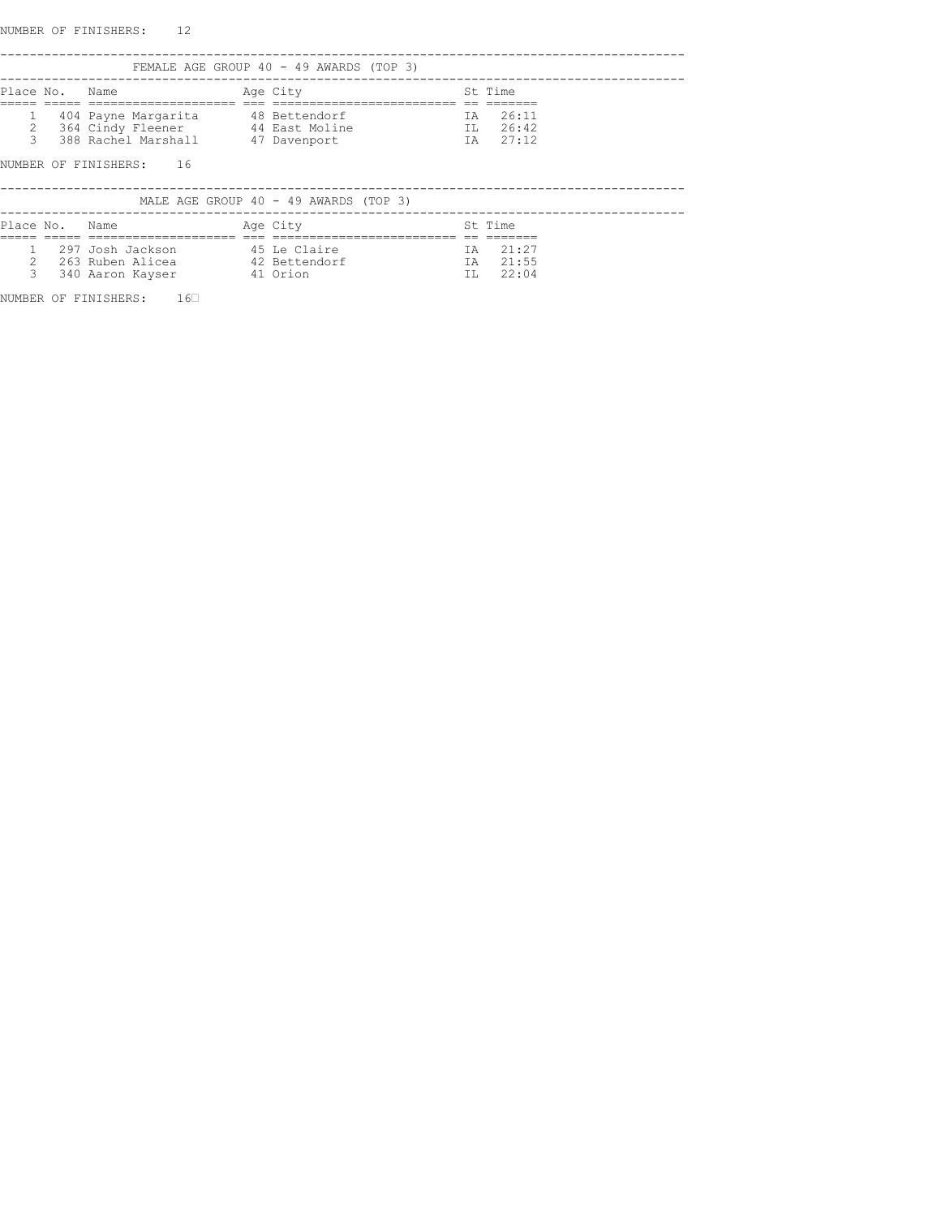NUMBER OF FINISHERS: 12

|                    |                |                                                                                                                                      | FEMALE AGE GROUP 40 - 49 AWARDS (TOP 3) |           |                               |
|--------------------|----------------|--------------------------------------------------------------------------------------------------------------------------------------|-----------------------------------------|-----------|-------------------------------|
|                    | Place No. Name |                                                                                                                                      | Age City                                |           | St Time                       |
| 2<br>$\mathcal{L}$ |                | 404 Payne Margarita 48 Bettendorf<br>364 Cindy Fleener 44 East Moline<br>388 Rachel Marshall 47 Davenport<br>NUMBER OF FINISHERS: 16 |                                         | TA 1      | 26:11<br>IL 26:42<br>IA 27:12 |
|                    |                |                                                                                                                                      | MALE AGE GROUP 40 - 49 AWARDS (TOP 3)   |           |                               |
|                    | Place No. Name | ===============                                                                                                                      | Age City                                |           | St Time                       |
|                    |                | 297 Josh Jackson 545 Le Claire<br>263 Ruben Alicea (42 Bettendorf<br>41 Orion<br>340 Aaron Kayser                                    |                                         | IA<br>TT. | TA 21:27<br>21:55<br>22:04    |

NUMBER OF FINISHERS: 160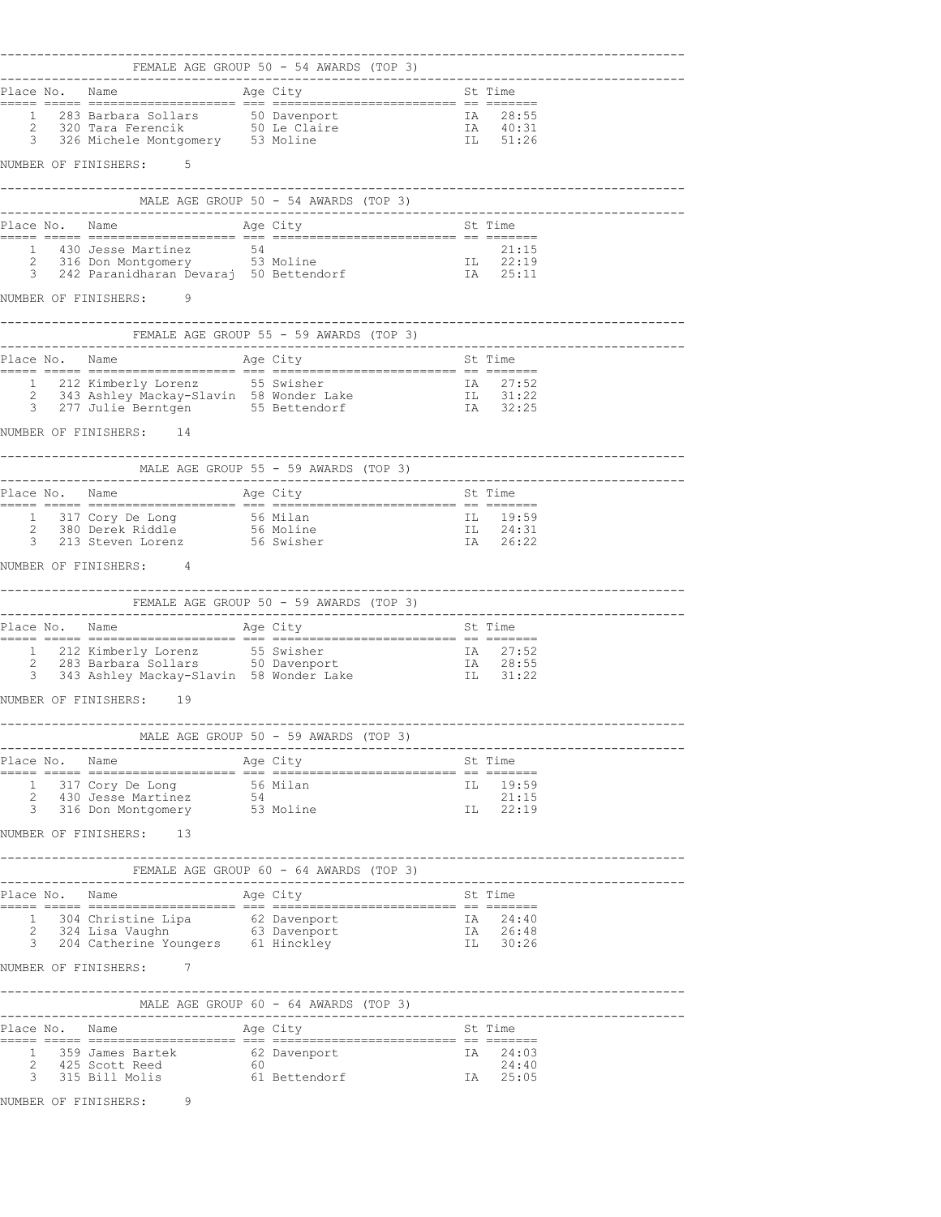|                                                                                                             |                                                                                                                                            | -----------------------------------  |
|-------------------------------------------------------------------------------------------------------------|--------------------------------------------------------------------------------------------------------------------------------------------|--------------------------------------|
|                                                                                                             | -----------------------------------                                                                                                        |                                      |
|                                                                                                             |                                                                                                                                            |                                      |
|                                                                                                             |                                                                                                                                            |                                      |
|                                                                                                             | 1 283 Barbara Sollars 50 Davenport 1 1 28:55<br>2 320 Tara Ferencik 50 Le Claire 1 1 40:31<br>3 326 Michele Montgomery 53 Moline 1 1 51:26 |                                      |
| NUMBER OF FINISHERS: 5                                                                                      |                                                                                                                                            |                                      |
|                                                                                                             |                                                                                                                                            |                                      |
|                                                                                                             |                                                                                                                                            |                                      |
|                                                                                                             |                                                                                                                                            |                                      |
|                                                                                                             | 1 430 Jesse Martinez 54 54 21:15<br>2 316 Don Montgomery 53 Moline 53 IL 22:19<br>3 242 Paranidharan Devaraj 50 Bettendorf 54 1A 25:11     |                                      |
| NUMBER OF FINISHERS: 9                                                                                      |                                                                                                                                            |                                      |
|                                                                                                             |                                                                                                                                            |                                      |
|                                                                                                             |                                                                                                                                            |                                      |
|                                                                                                             |                                                                                                                                            |                                      |
|                                                                                                             |                                                                                                                                            |                                      |
|                                                                                                             |                                                                                                                                            |                                      |
| NUMBER OF FINISHERS: 14                                                                                     |                                                                                                                                            |                                      |
| MALE AGE GROUP 55 - 59 AWARDS (TOP 3)                                                                       |                                                                                                                                            |                                      |
|                                                                                                             |                                                                                                                                            |                                      |
|                                                                                                             |                                                                                                                                            |                                      |
| 1 317 Cory De Long 56 Milan<br>2 380 Derek Riddle 56 Moline<br>3 213 Steven Lorenz 56 Swisher               | IL 19:59<br>IL 24:31<br>IA 26:22                                                                                                           |                                      |
| NUMBER OF FINISHERS: 4                                                                                      |                                                                                                                                            |                                      |
|                                                                                                             |                                                                                                                                            |                                      |
| FEMALE AGE GROUP 50 - 59 AWARDS (TOP 3)                                                                     |                                                                                                                                            |                                      |
|                                                                                                             |                                                                                                                                            |                                      |
|                                                                                                             |                                                                                                                                            |                                      |
|                                                                                                             |                                                                                                                                            |                                      |
| NUMBER OF FINISHERS: 19                                                                                     |                                                                                                                                            |                                      |
|                                                                                                             | MALE AGE GROUP 50 - 59 AWARDS (TOP 3)                                                                                                      | ------------------------------------ |
|                                                                                                             |                                                                                                                                            |                                      |
|                                                                                                             |                                                                                                                                            | IL 19:59                             |
| 1 317 Cory De Long 56 Milan<br>2 430 Jesse Martinez 54<br>3 316 Don Montgomery 53 Moline                    |                                                                                                                                            | 21:15                                |
|                                                                                                             |                                                                                                                                            | IL 22:19                             |
| NUMBER OF FINISHERS: 13                                                                                     |                                                                                                                                            |                                      |
|                                                                                                             |                                                                                                                                            |                                      |
|                                                                                                             |                                                                                                                                            |                                      |
|                                                                                                             |                                                                                                                                            | IA 24:40<br>IA 26:48<br>IL 30:26     |
| 1 304 Christine Lipa 62 Davenport<br>2 324 Lisa Vaughn 63 Davenport<br>3 204 Catherine Youngers 61 Hinckley |                                                                                                                                            |                                      |
| NUMBER OF FINISHERS: 7                                                                                      |                                                                                                                                            |                                      |
|                                                                                                             | MALE AGE GROUP 60 - 64 AWARDS (TOP 3)                                                                                                      |                                      |
|                                                                                                             |                                                                                                                                            |                                      |
|                                                                                                             |                                                                                                                                            |                                      |
|                                                                                                             | 1 359 James Bartek 62 Davenport 1A 24:03<br>2 425 Scott Reed 60 24:40<br>3 315 Bill Molis 61 Bettendorf 1A 25:05                           |                                      |
|                                                                                                             |                                                                                                                                            |                                      |
| NUMBER OF FINISHERS: 9                                                                                      |                                                                                                                                            |                                      |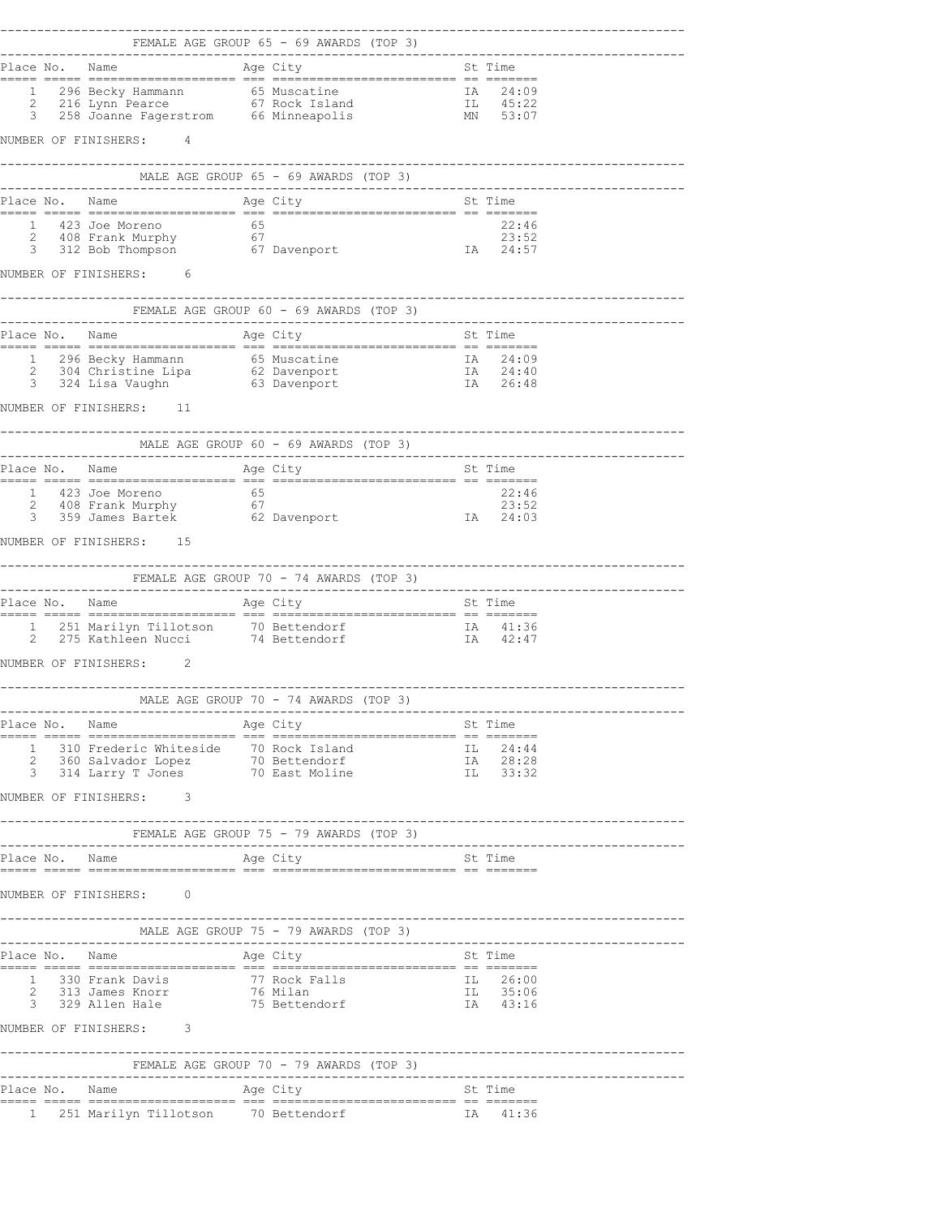|  | NUMBER OF FINISHERS: 4                                                                                              |                                                                                                      |                                  |                                      |
|--|---------------------------------------------------------------------------------------------------------------------|------------------------------------------------------------------------------------------------------|----------------------------------|--------------------------------------|
|  |                                                                                                                     |                                                                                                      |                                  |                                      |
|  |                                                                                                                     |                                                                                                      |                                  |                                      |
|  |                                                                                                                     |                                                                                                      |                                  |                                      |
|  |                                                                                                                     |                                                                                                      |                                  |                                      |
|  | NUMBER OF FINISHERS: 6                                                                                              |                                                                                                      |                                  | --------------------------------     |
|  |                                                                                                                     |                                                                                                      |                                  |                                      |
|  |                                                                                                                     |                                                                                                      |                                  |                                      |
|  |                                                                                                                     |                                                                                                      |                                  |                                      |
|  |                                                                                                                     |                                                                                                      |                                  |                                      |
|  | NUMBER OF FINISHERS: 11                                                                                             |                                                                                                      |                                  |                                      |
|  |                                                                                                                     |                                                                                                      |                                  |                                      |
|  |                                                                                                                     |                                                                                                      |                                  |                                      |
|  |                                                                                                                     |                                                                                                      |                                  |                                      |
|  |                                                                                                                     | 1 423 Joe Moreno 65 22:46<br>2 408 Frank Murphy 67 23:52<br>3 359 James Bartek 62 Davenport 1A 24:03 |                                  |                                      |
|  | NUMBER OF FINISHERS: 15                                                                                             |                                                                                                      |                                  |                                      |
|  |                                                                                                                     |                                                                                                      |                                  | ------------------------------------ |
|  |                                                                                                                     |                                                                                                      |                                  |                                      |
|  |                                                                                                                     |                                                                                                      |                                  |                                      |
|  |                                                                                                                     | 1 251 Marilyn Tillotson 10 Bettendorf 1 1 251 Marilyn Tillotson 14 Bettendorf 1 1 42:47              |                                  |                                      |
|  | NUMBER OF FINISHERS: 2                                                                                              |                                                                                                      |                                  |                                      |
|  | ---------------------                                                                                               |                                                                                                      |                                  | ----------------------------------   |
|  |                                                                                                                     |                                                                                                      |                                  |                                      |
|  |                                                                                                                     |                                                                                                      |                                  |                                      |
|  | 1 310 Frederic Whiteside 70 Rock Island<br>2 360 Salvador Lopez 70 Bettendorf<br>3 314 Larry T Jones 70 East Moline |                                                                                                      | IL 24:44<br>IA 28:28<br>IL 33:32 |                                      |
|  | NUMBER OF FINISHERS: 3                                                                                              |                                                                                                      |                                  |                                      |
|  | FEMALE AGE GROUP 75 - 79 AWARDS (TOP 3)                                                                             |                                                                                                      |                                  |                                      |
|  |                                                                                                                     |                                                                                                      |                                  |                                      |
|  | NUMBER OF FINISHERS: 0                                                                                              |                                                                                                      |                                  |                                      |
|  |                                                                                                                     |                                                                                                      |                                  |                                      |
|  |                                                                                                                     |                                                                                                      |                                  |                                      |
|  |                                                                                                                     |                                                                                                      |                                  |                                      |
|  | 1 330 Frank Davis<br>2 313 James Knorr<br>3 329 Allen Hale<br>75 Bettendorf<br>1 330 Frank Davis                    |                                                                                                      | IL 26:00<br>IL 35:06<br>IA 43:16 |                                      |
|  | NUMBER OF FINISHERS: 3                                                                                              |                                                                                                      |                                  |                                      |
|  |                                                                                                                     | FEMALE AGE GROUP 70 - 79 AWARDS (TOP 3)                                                              |                                  |                                      |
|  | Place No. Name                                                                                                      | Age City                                                                                             | St Time                          |                                      |
|  |                                                                                                                     | 1 251 Marilyn Tillotson 10 Bettendorf 11 11:36                                                       |                                  |                                      |
|  |                                                                                                                     |                                                                                                      |                                  |                                      |